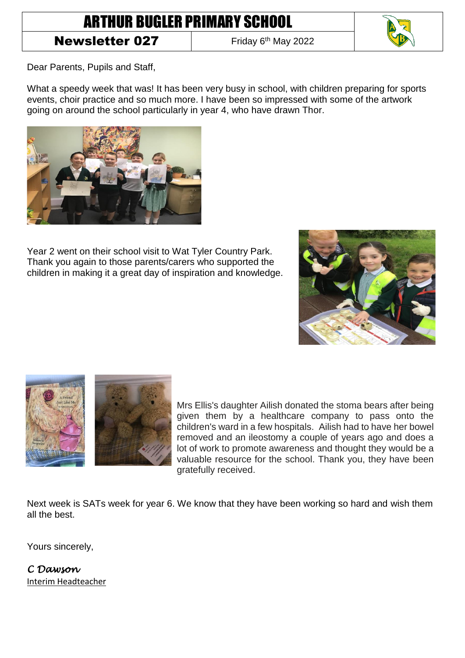## ARTHUR BUGLER PRIMARY SCHOOL

## Newsletter 027

Friday 6<sup>th</sup> May 2022



Dear Parents, Pupils and Staff,

What a speedy week that was! It has been very busy in school, with children preparing for sports events, choir practice and so much more. I have been so impressed with some of the artwork going on around the school particularly in year 4, who have drawn Thor.



Year 2 went on their school visit to Wat Tyler Country Park. Thank you again to those parents/carers who supported the children in making it a great day of inspiration and knowledge.





Mrs Ellis's daughter Ailish donated the stoma bears after being given them by a healthcare company to pass onto the children's ward in a few hospitals. Ailish had to have her bowel removed and an ileostomy a couple of years ago and does a lot of work to promote awareness and thought they would be a valuable resource for the school. Thank you, they have been gratefully received.

Next week is SATs week for year 6. We know that they have been working so hard and wish them all the best.

Yours sincerely,

*C Dawson*  Interim Headteacher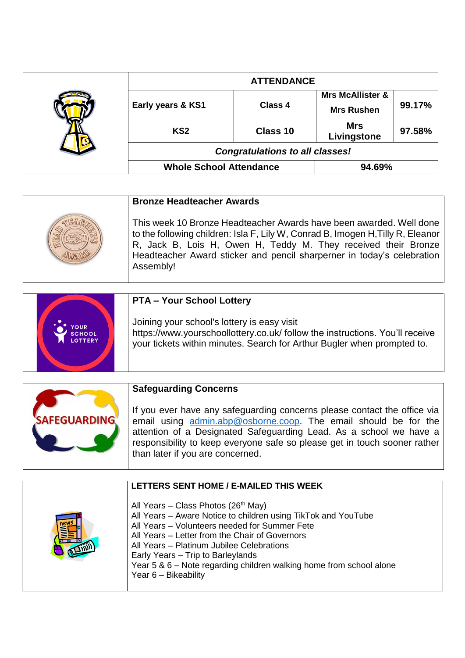|  | <b>ATTENDANCE</b>                      |                |                                                  |        |
|--|----------------------------------------|----------------|--------------------------------------------------|--------|
|  | Early years & KS1                      | <b>Class 4</b> | <b>Mrs McAllister &amp;</b><br><b>Mrs Rushen</b> | 99.17% |
|  | KS <sub>2</sub>                        | Class 10       | <b>Mrs</b><br>Livingstone                        | 97.58% |
|  | <b>Congratulations to all classes!</b> |                |                                                  |        |
|  | <b>Whole School Attendance</b>         |                | 94.69%                                           |        |

| <b>Bronze Headteacher Awards</b>                                                                                                                                                                                                                                                                                |  |
|-----------------------------------------------------------------------------------------------------------------------------------------------------------------------------------------------------------------------------------------------------------------------------------------------------------------|--|
| This week 10 Bronze Headteacher Awards have been awarded. Well done<br>to the following children: Isla F, Lily W, Conrad B, Imogen H, Tilly R, Eleanor<br>R, Jack B, Lois H, Owen H, Teddy M. They received their Bronze<br>Headteacher Award sticker and pencil sharperner in today's celebration<br>Assembly! |  |

|                                               | <b>PTA - Your School Lottery</b>                                                                                                                                                                       |
|-----------------------------------------------|--------------------------------------------------------------------------------------------------------------------------------------------------------------------------------------------------------|
| <b>OUR</b><br><b>SCHOOL</b><br><b>LOTTERY</b> | Joining your school's lottery is easy visit<br>https://www.yourschoollottery.co.uk/ follow the instructions. You'll receive<br>your tickets within minutes. Search for Arthur Bugler when prompted to. |
|                                               |                                                                                                                                                                                                        |

|--|

| LETTERS SENT HOME / E-MAILED THIS WEEK                                                                                                                                                                                                                                                                                                                                                               |
|------------------------------------------------------------------------------------------------------------------------------------------------------------------------------------------------------------------------------------------------------------------------------------------------------------------------------------------------------------------------------------------------------|
| All Years – Class Photos (26 <sup>th</sup> May)<br>All Years - Aware Notice to children using TikTok and YouTube<br>All Years - Volunteers needed for Summer Fete<br>All Years - Letter from the Chair of Governors<br>All Years - Platinum Jubilee Celebrations<br>Early Years - Trip to Barleylands<br>Year 5 & 6 – Note regarding children walking home from school alone<br>Year 6 - Bikeability |